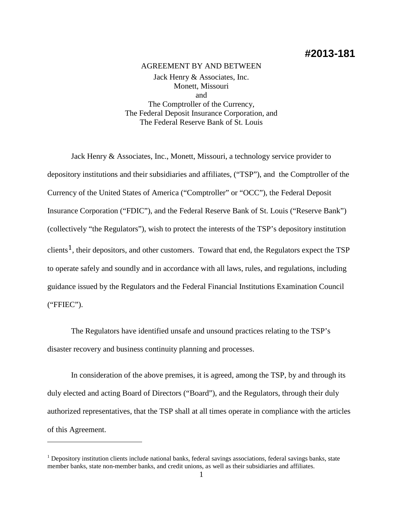# **#2013-181**

## AGREEMENT BY AND BETWEEN Jack Henry & Associates, Inc. Monett, Missouri and The Comptroller of the Currency, The Federal Deposit Insurance Corporation, and The Federal Reserve Bank of St. Louis

Jack Henry & Associates, Inc., Monett, Missouri, a technology service provider to depository institutions and their subsidiaries and affiliates, ("TSP"), and the Comptroller of the Currency of the United States of America ("Comptroller" or "OCC"), the Federal Deposit Insurance Corporation ("FDIC"), and the Federal Reserve Bank of St. Louis ("Reserve Bank") (collectively "the Regulators"), wish to protect the interests of the TSP's depository institution clients<sup>[1](#page-0-0)</sup>, their depositors, and other customers. Toward that end, the Regulators expect the TSP to operate safely and soundly and in accordance with all laws, rules, and regulations, including guidance issued by the Regulators and the Federal Financial Institutions Examination Council ("FFIEC").

The Regulators have identified unsafe and unsound practices relating to the TSP's disaster recovery and business continuity planning and processes.

In consideration of the above premises, it is agreed, among the TSP, by and through its duly elected and acting Board of Directors ("Board"), and the Regulators, through their duly authorized representatives, that the TSP shall at all times operate in compliance with the articles of this Agreement.

 $\overline{a}$ 

<span id="page-0-0"></span><sup>&</sup>lt;sup>1</sup> Depository institution clients include national banks, federal savings associations, federal savings banks, state member banks, state non-member banks, and credit unions, as well as their subsidiaries and affiliates.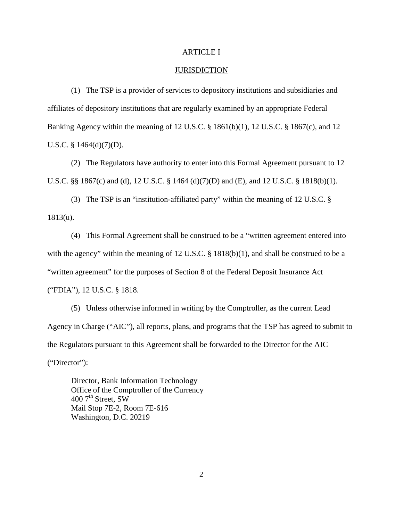### ARTICLE I

### JURISDICTION

(1) The TSP is a provider of services to depository institutions and subsidiaries and affiliates of depository institutions that are regularly examined by an appropriate Federal Banking Agency within the meaning of 12 U.S.C. § 1861(b)(1), 12 U.S.C. § 1867(c), and 12 U.S.C. § 1464(d)(7)(D).

(2) The Regulators have authority to enter into this Formal Agreement pursuant to 12 U.S.C. §§ 1867(c) and (d), 12 U.S.C. § 1464 (d)(7)(D) and (E), and 12 U.S.C. § 1818(b)(1).

(3) The TSP is an "institution-affiliated party" within the meaning of 12 U.S.C. § 1813(u).

(4) This Formal Agreement shall be construed to be a "written agreement entered into with the agency" within the meaning of 12 U.S.C.  $\S$  1818(b)(1), and shall be construed to be a "written agreement" for the purposes of Section 8 of the Federal Deposit Insurance Act ("FDIA"), 12 U.S.C. § 1818.

(5) Unless otherwise informed in writing by the Comptroller, as the current Lead Agency in Charge ("AIC"), all reports, plans, and programs that the TSP has agreed to submit to the Regulators pursuant to this Agreement shall be forwarded to the Director for the AIC ("Director"):

Director, Bank Information Technology Office of the Comptroller of the Currency  $4007^{\text{th}}$  Street, SW Mail Stop 7E-2, Room 7E-616 Washington, D.C. 20219

2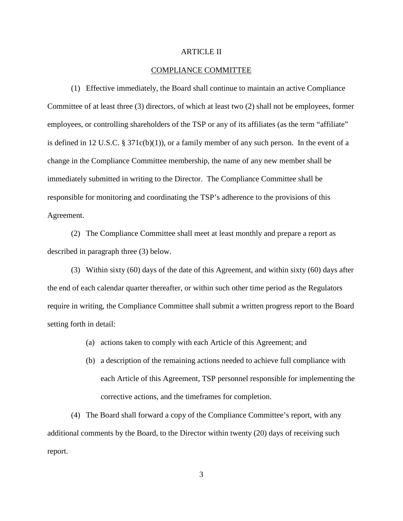#### ARTICLE II

### COMPLIANCE COMMITTEE

(1) Effective immediately, the Board shall continue to maintain an active Compliance Committee of at least three (3) directors, of which at least two (2) shall not be employees, former employees, or controlling shareholders of the TSP or any of its affiliates (as the term "affiliate" is defined in 12 U.S.C. § 371c(b)(1)), or a family member of any such person. In the event of a change in the Compliance Committee membership, the name of any new member shall be immediately submitted in writing to the Director. The Compliance Committee shall be responsible for monitoring and coordinating the TSP's adherence to the provisions of this Agreement.

(2) The Compliance Committee shall meet at least monthly and prepare a report as described in paragraph three (3) below.

(3) Within sixty (60) days of the date of this Agreement, and within sixty (60) days after the end of each calendar quarter thereafter, or within such other time period as the Regulators require in writing, the Compliance Committee shall submit a written progress report to the Board setting forth in detail:

- (a) actions taken to comply with each Article of this Agreement; and
- (b) a description of the remaining actions needed to achieve full compliance with each Article of this Agreement, TSP personnel responsible for implementing the corrective actions, and the timeframes for completion.

(4) The Board shall forward a copy of the Compliance Committee's report, with any additional comments by the Board, to the Director within twenty (20) days of receiving such report.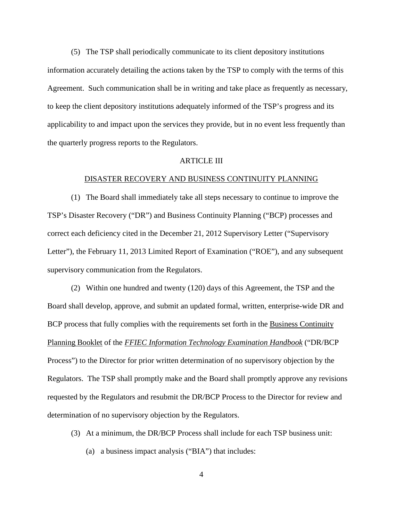(5) The TSP shall periodically communicate to its client depository institutions information accurately detailing the actions taken by the TSP to comply with the terms of this Agreement. Such communication shall be in writing and take place as frequently as necessary, to keep the client depository institutions adequately informed of the TSP's progress and its applicability to and impact upon the services they provide, but in no event less frequently than the quarterly progress reports to the Regulators.

#### ARTICLE III

#### DISASTER RECOVERY AND BUSINESS CONTINUITY PLANNING

(1) The Board shall immediately take all steps necessary to continue to improve the TSP's Disaster Recovery ("DR") and Business Continuity Planning ("BCP) processes and correct each deficiency cited in the December 21, 2012 Supervisory Letter ("Supervisory Letter"), the February 11, 2013 Limited Report of Examination ("ROE"), and any subsequent supervisory communication from the Regulators.

(2) Within one hundred and twenty (120) days of this Agreement, the TSP and the Board shall develop, approve, and submit an updated formal, written, enterprise-wide DR and BCP process that fully complies with the requirements set forth in the Business Continuity Planning Booklet of the *FFIEC Information Technology Examination Handbook* ("DR/BCP Process") to the Director for prior written determination of no supervisory objection by the Regulators. The TSP shall promptly make and the Board shall promptly approve any revisions requested by the Regulators and resubmit the DR/BCP Process to the Director for review and determination of no supervisory objection by the Regulators.

- (3) At a minimum, the DR/BCP Process shall include for each TSP business unit:
	- (a) a business impact analysis ("BIA") that includes: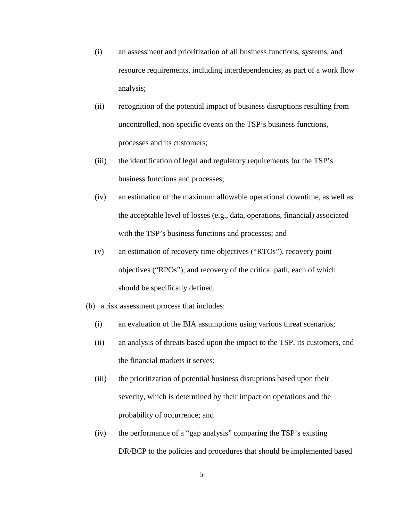- (i) an assessment and prioritization of all business functions, systems, and resource requirements, including interdependencies, as part of a work flow analysis;
- (ii) recognition of the potential impact of business disruptions resulting from uncontrolled, non-specific events on the TSP's business functions, processes and its customers;
- (iii) the identification of legal and regulatory requirements for the TSP's business functions and processes;
- (iv) an estimation of the maximum allowable operational downtime, as well as the acceptable level of losses (e.g., data, operations, financial) associated with the TSP's business functions and processes; and
- (v) an estimation of recovery time objectives ("RTOs"), recovery point objectives ("RPOs"), and recovery of the critical path, each of which should be specifically defined.
- (b) a risk assessment process that includes:
	- (i) an evaluation of the BIA assumptions using various threat scenarios;
	- (ii) an analysis of threats based upon the impact to the TSP, its customers, and the financial markets it serves;
	- (iii) the prioritization of potential business disruptions based upon their severity, which is determined by their impact on operations and the probability of occurrence; and
	- (iv) the performance of a "gap analysis" comparing the TSP's existing DR/BCP to the policies and procedures that should be implemented based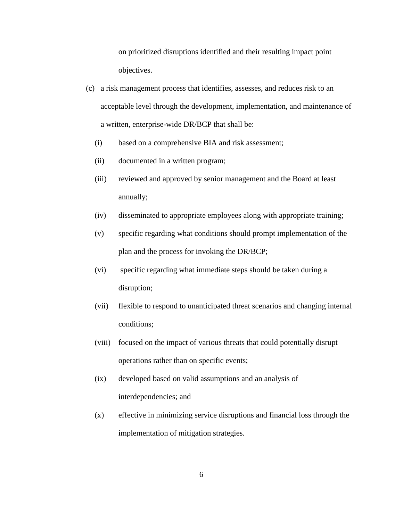on prioritized disruptions identified and their resulting impact point objectives.

- (c) a risk management process that identifies, assesses, and reduces risk to an acceptable level through the development, implementation, and maintenance of a written, enterprise-wide DR/BCP that shall be:
	- (i) based on a comprehensive BIA and risk assessment;
	- (ii) documented in a written program;
	- (iii) reviewed and approved by senior management and the Board at least annually;
	- (iv) disseminated to appropriate employees along with appropriate training;
	- (v) specific regarding what conditions should prompt implementation of the plan and the process for invoking the DR/BCP;
	- (vi) specific regarding what immediate steps should be taken during a disruption;
	- (vii) flexible to respond to unanticipated threat scenarios and changing internal conditions;
	- (viii) focused on the impact of various threats that could potentially disrupt operations rather than on specific events;
	- (ix) developed based on valid assumptions and an analysis of interdependencies; and
	- (x) effective in minimizing service disruptions and financial loss through the implementation of mitigation strategies.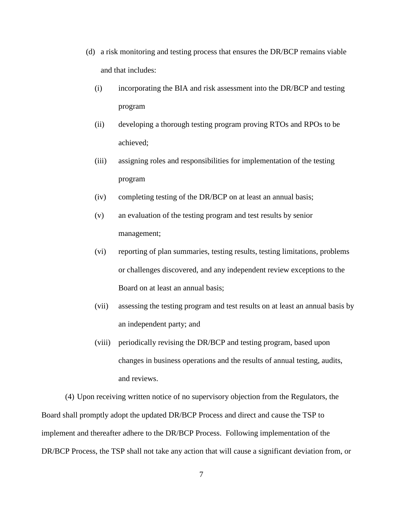- (d) a risk monitoring and testing process that ensures the DR/BCP remains viable and that includes:
	- (i) incorporating the BIA and risk assessment into the DR/BCP and testing program
	- (ii) developing a thorough testing program proving RTOs and RPOs to be achieved;
	- (iii) assigning roles and responsibilities for implementation of the testing program
	- (iv) completing testing of the DR/BCP on at least an annual basis;
	- (v) an evaluation of the testing program and test results by senior management;
	- (vi) reporting of plan summaries, testing results, testing limitations, problems or challenges discovered, and any independent review exceptions to the Board on at least an annual basis;
	- (vii) assessing the testing program and test results on at least an annual basis by an independent party; and
	- (viii) periodically revising the DR/BCP and testing program, based upon changes in business operations and the results of annual testing, audits, and reviews.

(4) Upon receiving written notice of no supervisory objection from the Regulators, the Board shall promptly adopt the updated DR/BCP Process and direct and cause the TSP to implement and thereafter adhere to the DR/BCP Process. Following implementation of the DR/BCP Process, the TSP shall not take any action that will cause a significant deviation from, or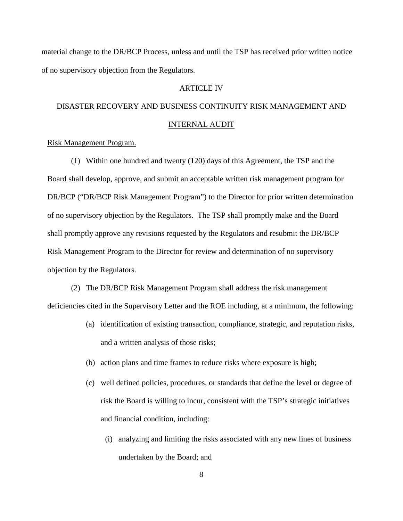material change to the DR/BCP Process, unless and until the TSP has received prior written notice of no supervisory objection from the Regulators.

### ARTICLE IV

# DISASTER RECOVERY AND BUSINESS CONTINUITY RISK MANAGEMENT AND INTERNAL AUDIT

### Risk Management Program.

(1) Within one hundred and twenty (120) days of this Agreement, the TSP and the Board shall develop, approve, and submit an acceptable written risk management program for DR/BCP ("DR/BCP Risk Management Program") to the Director for prior written determination of no supervisory objection by the Regulators. The TSP shall promptly make and the Board shall promptly approve any revisions requested by the Regulators and resubmit the DR/BCP Risk Management Program to the Director for review and determination of no supervisory objection by the Regulators.

(2) The DR/BCP Risk Management Program shall address the risk management deficiencies cited in the Supervisory Letter and the ROE including, at a minimum, the following:

- (a) identification of existing transaction, compliance, strategic, and reputation risks, and a written analysis of those risks;
- (b) action plans and time frames to reduce risks where exposure is high;
- (c) well defined policies, procedures, or standards that define the level or degree of risk the Board is willing to incur, consistent with the TSP's strategic initiatives and financial condition, including:
	- (i) analyzing and limiting the risks associated with any new lines of business undertaken by the Board; and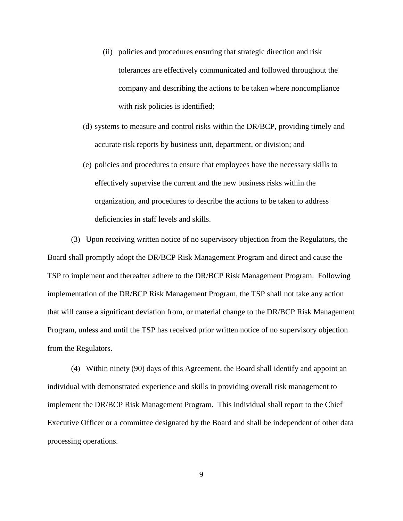- (ii) policies and procedures ensuring that strategic direction and risk tolerances are effectively communicated and followed throughout the company and describing the actions to be taken where noncompliance with risk policies is identified;
- (d) systems to measure and control risks within the DR/BCP, providing timely and accurate risk reports by business unit, department, or division; and
- (e) policies and procedures to ensure that employees have the necessary skills to effectively supervise the current and the new business risks within the organization, and procedures to describe the actions to be taken to address deficiencies in staff levels and skills.

(3) Upon receiving written notice of no supervisory objection from the Regulators, the Board shall promptly adopt the DR/BCP Risk Management Program and direct and cause the TSP to implement and thereafter adhere to the DR/BCP Risk Management Program. Following implementation of the DR/BCP Risk Management Program, the TSP shall not take any action that will cause a significant deviation from, or material change to the DR/BCP Risk Management Program, unless and until the TSP has received prior written notice of no supervisory objection from the Regulators.

(4) Within ninety (90) days of this Agreement, the Board shall identify and appoint an individual with demonstrated experience and skills in providing overall risk management to implement the DR/BCP Risk Management Program. This individual shall report to the Chief Executive Officer or a committee designated by the Board and shall be independent of other data processing operations.

9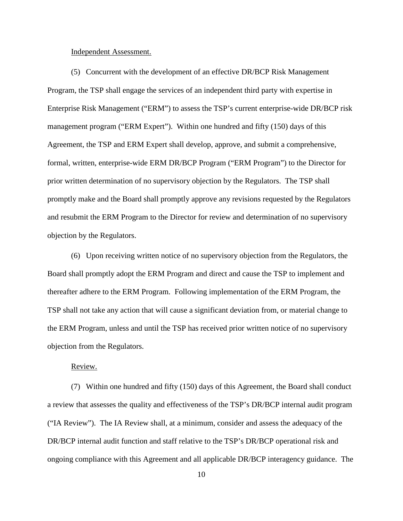#### Independent Assessment.

(5) Concurrent with the development of an effective DR/BCP Risk Management Program, the TSP shall engage the services of an independent third party with expertise in Enterprise Risk Management ("ERM") to assess the TSP's current enterprise-wide DR/BCP risk management program ("ERM Expert"). Within one hundred and fifty (150) days of this Agreement, the TSP and ERM Expert shall develop, approve, and submit a comprehensive, formal, written, enterprise-wide ERM DR/BCP Program ("ERM Program") to the Director for prior written determination of no supervisory objection by the Regulators. The TSP shall promptly make and the Board shall promptly approve any revisions requested by the Regulators and resubmit the ERM Program to the Director for review and determination of no supervisory objection by the Regulators.

(6) Upon receiving written notice of no supervisory objection from the Regulators, the Board shall promptly adopt the ERM Program and direct and cause the TSP to implement and thereafter adhere to the ERM Program. Following implementation of the ERM Program, the TSP shall not take any action that will cause a significant deviation from, or material change to the ERM Program, unless and until the TSP has received prior written notice of no supervisory objection from the Regulators.

### Review.

(7) Within one hundred and fifty (150) days of this Agreement, the Board shall conduct a review that assesses the quality and effectiveness of the TSP's DR/BCP internal audit program ("IA Review"). The IA Review shall, at a minimum, consider and assess the adequacy of the DR/BCP internal audit function and staff relative to the TSP's DR/BCP operational risk and ongoing compliance with this Agreement and all applicable DR/BCP interagency guidance. The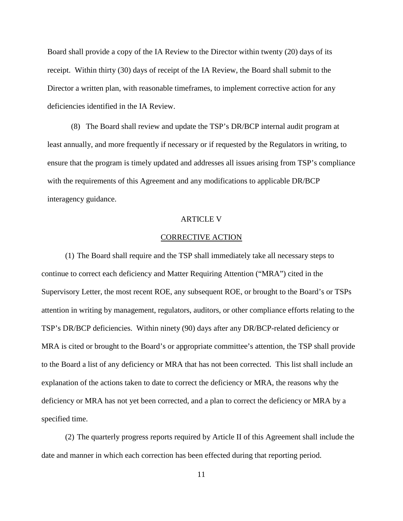Board shall provide a copy of the IA Review to the Director within twenty (20) days of its receipt. Within thirty (30) days of receipt of the IA Review, the Board shall submit to the Director a written plan, with reasonable timeframes, to implement corrective action for any deficiencies identified in the IA Review.

(8) The Board shall review and update the TSP's DR/BCP internal audit program at least annually, and more frequently if necessary or if requested by the Regulators in writing, to ensure that the program is timely updated and addresses all issues arising from TSP's compliance with the requirements of this Agreement and any modifications to applicable DR/BCP interagency guidance.

#### ARTICLE V

#### CORRECTIVE ACTION

(1) The Board shall require and the TSP shall immediately take all necessary steps to continue to correct each deficiency and Matter Requiring Attention ("MRA") cited in the Supervisory Letter, the most recent ROE, any subsequent ROE, or brought to the Board's or TSPs attention in writing by management, regulators, auditors, or other compliance efforts relating to the TSP's DR/BCP deficiencies. Within ninety (90) days after any DR/BCP-related deficiency or MRA is cited or brought to the Board's or appropriate committee's attention, the TSP shall provide to the Board a list of any deficiency or MRA that has not been corrected. This list shall include an explanation of the actions taken to date to correct the deficiency or MRA, the reasons why the deficiency or MRA has not yet been corrected, and a plan to correct the deficiency or MRA by a specified time.

(2) The quarterly progress reports required by Article II of this Agreement shall include the date and manner in which each correction has been effected during that reporting period.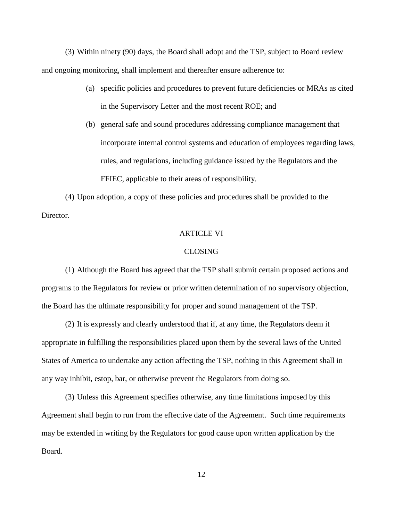(3) Within ninety (90) days, the Board shall adopt and the TSP, subject to Board review and ongoing monitoring, shall implement and thereafter ensure adherence to:

- (a) specific policies and procedures to prevent future deficiencies or MRAs as cited in the Supervisory Letter and the most recent ROE; and
- (b) general safe and sound procedures addressing compliance management that incorporate internal control systems and education of employees regarding laws, rules, and regulations, including guidance issued by the Regulators and the FFIEC, applicable to their areas of responsibility.

(4) Upon adoption, a copy of these policies and procedures shall be provided to the Director.

### ARTICLE VI

#### CLOSING

(1) Although the Board has agreed that the TSP shall submit certain proposed actions and programs to the Regulators for review or prior written determination of no supervisory objection, the Board has the ultimate responsibility for proper and sound management of the TSP.

(2) It is expressly and clearly understood that if, at any time, the Regulators deem it appropriate in fulfilling the responsibilities placed upon them by the several laws of the United States of America to undertake any action affecting the TSP, nothing in this Agreement shall in any way inhibit, estop, bar, or otherwise prevent the Regulators from doing so.

(3) Unless this Agreement specifies otherwise, any time limitations imposed by this Agreement shall begin to run from the effective date of the Agreement. Such time requirements may be extended in writing by the Regulators for good cause upon written application by the Board.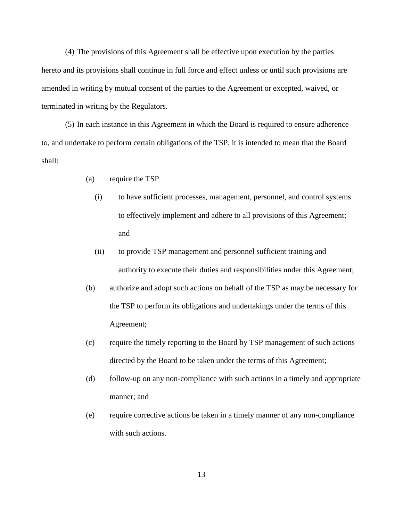(4) The provisions of this Agreement shall be effective upon execution by the parties hereto and its provisions shall continue in full force and effect unless or until such provisions are amended in writing by mutual consent of the parties to the Agreement or excepted, waived, or terminated in writing by the Regulators.

(5) In each instance in this Agreement in which the Board is required to ensure adherence to, and undertake to perform certain obligations of the TSP, it is intended to mean that the Board shall:

- (a) require the TSP
	- (i) to have sufficient processes, management, personnel, and control systems to effectively implement and adhere to all provisions of this Agreement; and
	- (ii) to provide TSP management and personnel sufficient training and authority to execute their duties and responsibilities under this Agreement;
- (b) authorize and adopt such actions on behalf of the TSP as may be necessary for the TSP to perform its obligations and undertakings under the terms of this Agreement;
- (c) require the timely reporting to the Board by TSP management of such actions directed by the Board to be taken under the terms of this Agreement;
- (d) follow-up on any non-compliance with such actions in a timely and appropriate manner; and
- (e) require corrective actions be taken in a timely manner of any non-compliance with such actions.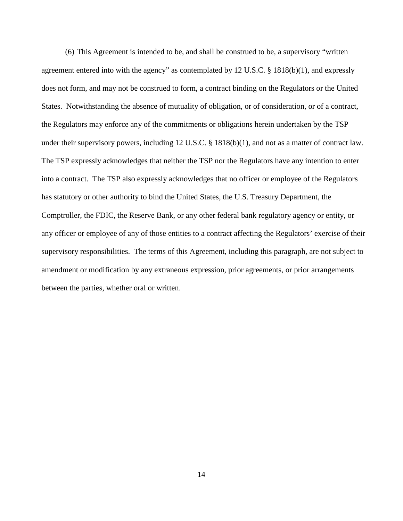(6) This Agreement is intended to be, and shall be construed to be, a supervisory "written agreement entered into with the agency" as contemplated by 12 U.S.C. § 1818(b)(1), and expressly does not form, and may not be construed to form, a contract binding on the Regulators or the United States. Notwithstanding the absence of mutuality of obligation, or of consideration, or of a contract, the Regulators may enforce any of the commitments or obligations herein undertaken by the TSP under their supervisory powers, including 12 U.S.C. § 1818(b)(1), and not as a matter of contract law. The TSP expressly acknowledges that neither the TSP nor the Regulators have any intention to enter into a contract. The TSP also expressly acknowledges that no officer or employee of the Regulators has statutory or other authority to bind the United States, the U.S. Treasury Department, the Comptroller, the FDIC, the Reserve Bank, or any other federal bank regulatory agency or entity, or any officer or employee of any of those entities to a contract affecting the Regulators' exercise of their supervisory responsibilities. The terms of this Agreement, including this paragraph, are not subject to amendment or modification by any extraneous expression, prior agreements, or prior arrangements between the parties, whether oral or written.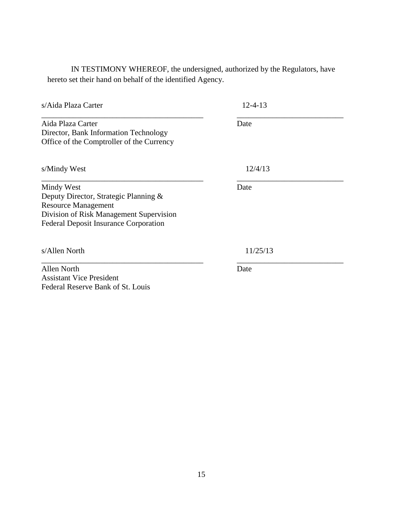IN TESTIMONY WHEREOF, the undersigned, authorized by the Regulators, have hereto set their hand on behalf of the identified Agency.

| s/Aida Plaza Carter                                                                                                                                                          | $12 - 4 - 13$ |  |
|------------------------------------------------------------------------------------------------------------------------------------------------------------------------------|---------------|--|
| Aida Plaza Carter<br>Director, Bank Information Technology<br>Office of the Comptroller of the Currency                                                                      | Date          |  |
| s/Mindy West                                                                                                                                                                 | 12/4/13       |  |
| Mindy West<br>Deputy Director, Strategic Planning &<br><b>Resource Management</b><br>Division of Risk Management Supervision<br><b>Federal Deposit Insurance Corporation</b> | Date          |  |
| s/Allen North                                                                                                                                                                | 11/25/13      |  |
| <b>Allen North</b><br><b>Assistant Vice President</b>                                                                                                                        | Date          |  |

Federal Reserve Bank of St. Louis

15